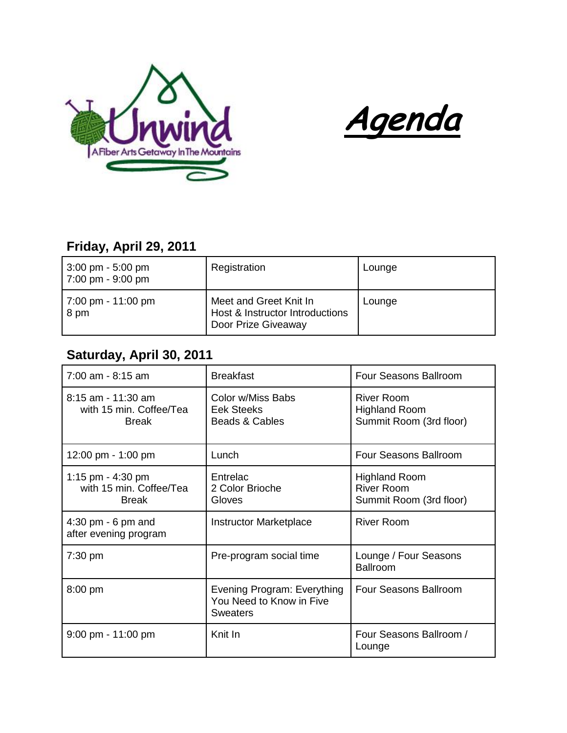



## **Friday, April 29, 2011**

| $3:00 \text{ pm} - 5:00 \text{ pm}$<br>7:00 pm - 9:00 pm | Registration                                                                     | Lounge |
|----------------------------------------------------------|----------------------------------------------------------------------------------|--------|
| 7:00 pm - 11:00 pm<br>8 pm                               | Meet and Greet Knit In<br>Host & Instructor Introductions<br>Door Prize Giveaway | Lounge |

## **Saturday, April 30, 2011**

| 7:00 am - 8:15 am                                             | <b>Breakfast</b>                                                           | <b>Four Seasons Ballroom</b>                                         |
|---------------------------------------------------------------|----------------------------------------------------------------------------|----------------------------------------------------------------------|
| 8:15 am - 11:30 am<br>with 15 min. Coffee/Tea<br><b>Break</b> | Color w/Miss Babs<br>Eek Steeks<br>Beads & Cables                          | <b>River Room</b><br><b>Highland Room</b><br>Summit Room (3rd floor) |
| 12:00 pm - 1:00 pm                                            | Lunch                                                                      | <b>Four Seasons Ballroom</b>                                         |
| 1:15 pm - 4:30 pm<br>with 15 min. Coffee/Tea<br><b>Break</b>  | Entrelac<br>2 Color Brioche<br>Gloves                                      | <b>Highland Room</b><br><b>River Room</b><br>Summit Room (3rd floor) |
| $4:30$ pm - 6 pm and<br>after evening program                 | <b>Instructor Marketplace</b>                                              | <b>River Room</b>                                                    |
| $7:30$ pm                                                     | Pre-program social time                                                    | Lounge / Four Seasons<br><b>Ballroom</b>                             |
| 8:00 pm                                                       | Evening Program: Everything<br>You Need to Know in Five<br><b>Sweaters</b> | <b>Four Seasons Ballroom</b>                                         |
| $9:00$ pm - 11:00 pm                                          | Knit In                                                                    | Four Seasons Ballroom /<br>Lounge                                    |